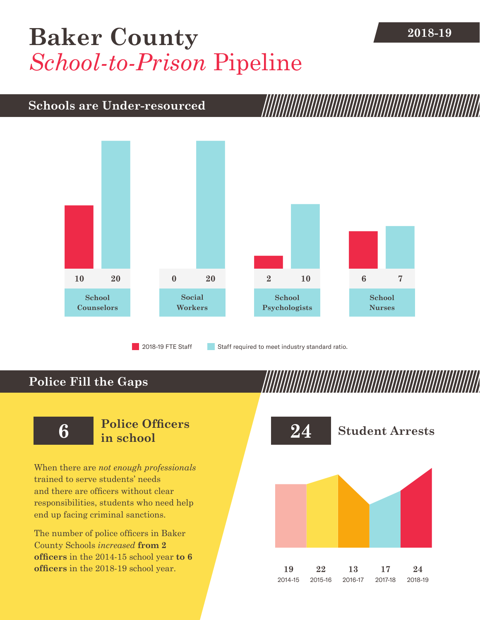## **[Baker County](DBF_County)** 2018-19 *School-to-Prison* Pipeline

#### **Schools are Under-resourced**



2018-19 FTE Staff **Staff required to meet industry standard ratio.** 

### **Police Fill the Gaps**

When there are *not enough professionals* trained to serve students' needs and there are officers without clear responsibilities, students who need help end up facing criminal sanctions.

The number of police officers in [Baker](DBF_County)  [County](DBF_County) Schools *increased* **from [2](DBF_PO1415) officers** in the 2014-15 school year **to [6](DBF_PO) officers** in the 2018-19 school year.